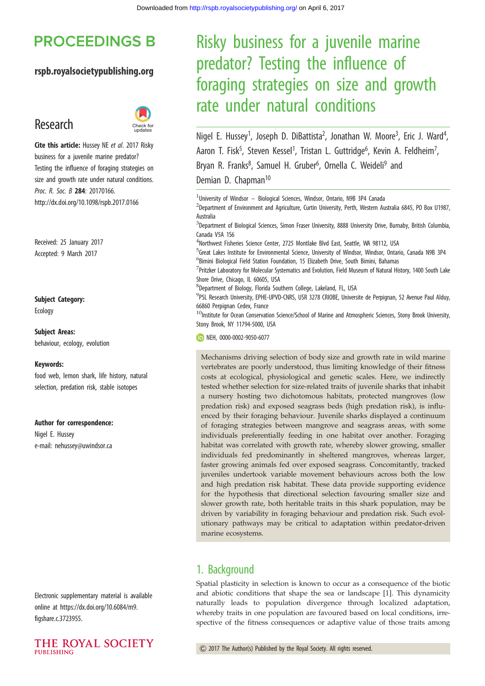# **PROCEEDINGS B**

#### rspb.royalsocietypublishing.org

# Research



Cite this article: Hussey NE et al. 2017 Risky business for a juvenile marine predator? Testing the influence of foraging strategies on size and growth rate under natural conditions. Proc. R. Soc. B 284: 20170166. http://dx.doi.org/10.1098/rspb.2017.0166

Received: 25 January 2017 Accepted: 9 March 2017

#### Subject Category:

Ecology

Subject Areas: behaviour, ecology, evolution

#### Keywords:

food web, lemon shark, life history, natural selection, predation risk, stable isotopes

#### Author for correspondence:

Nigel E. Hussey e-mail: nehussey@uwindsor.ca

Electronic supplementary material is available online at https://dx.doi.org/10.6084/m9. figshare.c.3723955.



# Risky business for a juvenile marine predator? Testing the influence of foraging strategies on size and growth rate under natural conditions

Nigel E. Hussey<sup>1</sup>, Joseph D. DiBattista<sup>2</sup>, Jonathan W. Moore<sup>3</sup>, Eric J. Ward<sup>4</sup> .<br>, Aaron T. Fisk<sup>5</sup>, Steven Kessel<sup>1</sup>, Tristan L. Guttridge<sup>6</sup>, Kevin A. Feldheim<sup>7</sup> , Bryan R. Franks<sup>8</sup>, Samuel H. Gruber<sup>6</sup>, Ornella C. Weideli<sup>9</sup> and Demian D. Chapman<sup>10</sup>

<sup>1</sup>University of Windsor - Biological Sciences, Windsor, Ontario, N9B 3P4 Canada

<sup>2</sup>Department of Environment and Agriculture, Curtin University, Perth, Western Australia 6845, PO Box U1987, Australia

<sup>3</sup>Department of Biological Sciences, Simon Fraser University, 8888 University Drive, Burnaby, British Columbia, Canada V5A 1S6

4 Northwest Fisheries Science Center, 2725 Montlake Blvd East, Seattle, WA 98112, USA

<sup>5</sup>Great Lakes Institute for Environmental Science, University of Windsor, Windsor, Ontario, Canada N9B 3P4 6 Bimini Biological Field Station Foundation, 15 Elizabeth Drive, South Bimini, Bahamas

<sup>7</sup> Pritzker Laboratory for Molecular Systematics and Evolution, Field Museum of Natural History, 1400 South Lake Shore Drive, Chicago, IL 60605, USA

8 Department of Biology, Florida Southern College, Lakeland, FL, USA

9 PSL Research University, EPHE-UPVD-CNRS, USR 3278 CRIOBE, Universite de Perpignan, 52 Avenue Paul Alduy, 66860 Perpignan Cedex, France

 $10$ Institute for Ocean Conservation Science/School of Marine and Atmospheric Sciences, Stony Brook University, Stony Brook, NY 11794-5000, USA

**ID NEH, 0000-0002-9050-6077** 

Mechanisms driving selection of body size and growth rate in wild marine vertebrates are poorly understood, thus limiting knowledge of their fitness costs at ecological, physiological and genetic scales. Here, we indirectly tested whether selection for size-related traits of juvenile sharks that inhabit a nursery hosting two dichotomous habitats, protected mangroves (low predation risk) and exposed seagrass beds (high predation risk), is influenced by their foraging behaviour. Juvenile sharks displayed a continuum of foraging strategies between mangrove and seagrass areas, with some individuals preferentially feeding in one habitat over another. Foraging habitat was correlated with growth rate, whereby slower growing, smaller individuals fed predominantly in sheltered mangroves, whereas larger, faster growing animals fed over exposed seagrass. Concomitantly, tracked juveniles undertook variable movement behaviours across both the low and high predation risk habitat. These data provide supporting evidence for the hypothesis that directional selection favouring smaller size and slower growth rate, both heritable traits in this shark population, may be driven by variability in foraging behaviour and predation risk. Such evolutionary pathways may be critical to adaptation within predator-driven marine ecosystems.

#### 1. Background

Spatial plasticity in selection is known to occur as a consequence of the biotic and abiotic conditions that shape the sea or landscape [1]. This dynamicity naturally leads to population divergence through localized adaptation, whereby traits in one population are favoured based on local conditions, irrespective of the fitness consequences or adaptive value of those traits among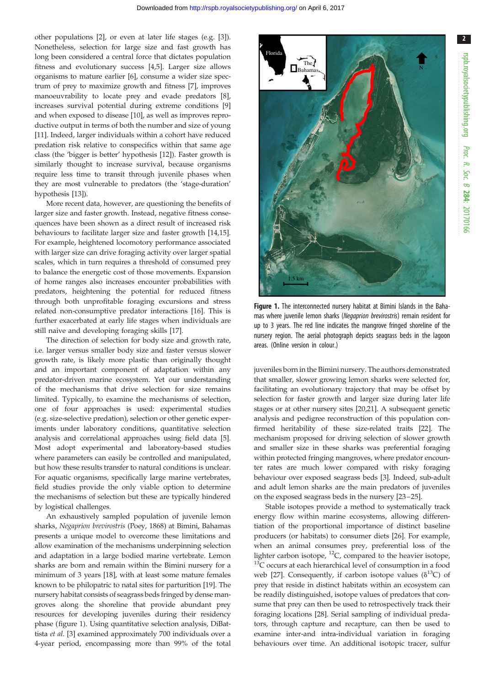other populations [2], or even at later life stages (e.g. [3]). Nonetheless, selection for large size and fast growth has long been considered a central force that dictates population fitness and evolutionary success [4,5]. Larger size allows organisms to mature earlier [6], consume a wider size spectrum of prey to maximize growth and fitness [7], improves manoeuvrability to locate prey and evade predators [8], increases survival potential during extreme conditions [9] and when exposed to disease [10], as well as improves reproductive output in terms of both the number and size of young [11]. Indeed, larger individuals within a cohort have reduced predation risk relative to conspecifics within that same age class (the 'bigger is better' hypothesis [12]). Faster growth is similarly thought to increase survival, because organisms require less time to transit through juvenile phases when they are most vulnerable to predators (the 'stage-duration' hypothesis [13]).

More recent data, however, are questioning the benefits of larger size and faster growth. Instead, negative fitness consequences have been shown as a direct result of increased risk behaviours to facilitate larger size and faster growth [14,15]. For example, heightened locomotory performance associated with larger size can drive foraging activity over larger spatial scales, which in turn requires a threshold of consumed prey to balance the energetic cost of those movements. Expansion of home ranges also increases encounter probabilities with predators, heightening the potential for reduced fitness through both unprofitable foraging excursions and stress related non-consumptive predator interactions [16]. This is further exacerbated at early life stages when individuals are still naive and developing foraging skills [17].

The direction of selection for body size and growth rate, i.e. larger versus smaller body size and faster versus slower growth rate, is likely more plastic than originally thought and an important component of adaptation within any predator-driven marine ecosystem. Yet our understanding of the mechanisms that drive selection for size remains limited. Typically, to examine the mechanisms of selection, one of four approaches is used: experimental studies (e.g. size-selective predation), selection or other genetic experiments under laboratory conditions, quantitative selection analysis and correlational approaches using field data [5]. Most adopt experimental and laboratory-based studies where parameters can easily be controlled and manipulated, but how these results transfer to natural conditions is unclear. For aquatic organisms, specifically large marine vertebrates, field studies provide the only viable option to determine the mechanisms of selection but these are typically hindered by logistical challenges.

An exhaustively sampled population of juvenile lemon sharks, Negaprion brevirostris (Poey, 1868) at Bimini, Bahamas presents a unique model to overcome these limitations and allow examination of the mechanisms underpinning selection and adaptation in a large bodied marine vertebrate. Lemon sharks are born and remain within the Bimini nursery for a minimum of 3 years [18], with at least some mature females known to be philopatric to natal sites for parturition [19]. The nursery habitat consists of seagrass beds fringed by dense mangroves along the shoreline that provide abundant prey resources for developing juveniles during their residency phase (figure 1). Using quantitative selection analysis, DiBattista et al. [3] examined approximately 700 individuals over a 4-year period, encompassing more than 99% of the total



Figure 1. The interconnected nursery habitat at Bimini Islands in the Bahamas where juvenile lemon sharks (Negaprion brevirostris) remain resident for up to 3 years. The red line indicates the mangrove fringed shoreline of the nursery region. The aerial photograph depicts seagrass beds in the lagoon areas. (Online version in colour.)

juveniles born in the Bimini nursery. The authors demonstrated that smaller, slower growing lemon sharks were selected for, facilitating an evolutionary trajectory that may be offset by selection for faster growth and larger size during later life stages or at other nursery sites [20,21]. A subsequent genetic analysis and pedigree reconstruction of this population confirmed heritability of these size-related traits [22]. The mechanism proposed for driving selection of slower growth and smaller size in these sharks was preferential foraging within protected fringing mangroves, where predator encounter rates are much lower compared with risky foraging behaviour over exposed seagrass beds [3]. Indeed, sub-adult and adult lemon sharks are the main predators of juveniles on the exposed seagrass beds in the nursery [23–25].

Stable isotopes provide a method to systematically track energy flow within marine ecosystems, allowing differentiation of the proportional importance of distinct baseline producers (or habitats) to consumer diets [26]. For example, when an animal consumes prey, preferential loss of the lighter carbon isotope,  $^{12}C$ , compared to the heavier isotope,  $13^{\circ}$ C occurs at each hierarchical level of consumption in a food web [27]. Consequently, if carbon isotope values ( $\delta^{13}$ C) of prey that reside in distinct habitats within an ecosystem can be readily distinguished, isotope values of predators that consume that prey can then be used to retrospectively track their foraging locations [28]. Serial sampling of individual predators, through capture and recapture, can then be used to examine inter-and intra-individual variation in foraging behaviours over time. An additional isotopic tracer, sulfur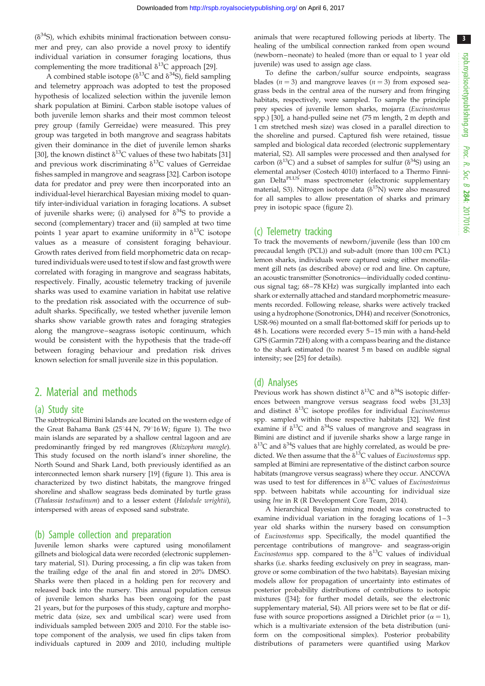$(\delta^{34}S)$ , which exhibits minimal fractionation between consumer and prey, can also provide a novel proxy to identify individual variation in consumer foraging locations, thus complementing the more traditional  $\delta^{13}$ C approach [29].

A combined stable isotope ( $\delta^{13}$ C and  $\delta^{34}$ S), field sampling and telemetry approach was adopted to test the proposed hypothesis of localized selection within the juvenile lemon shark population at Bimini. Carbon stable isotope values of both juvenile lemon sharks and their most common teleost prey group (family Gerreidae) were measured. This prey group was targeted in both mangrove and seagrass habitats given their dominance in the diet of juvenile lemon sharks [30], the known distinct  $\delta^{13}C$  values of these two habitats [31] and previous work discriminating  $\delta^{13}$ C values of Gerreidae fishes sampled in mangrove and seagrass [32]. Carbon isotope data for predator and prey were then incorporated into an individual-level hierarchical Bayesian mixing model to quantify inter-individual variation in foraging locations. A subset of juvenile sharks were; (i) analysed for  $\delta^{34}S$  to provide a second (complementary) tracer and (ii) sampled at two time points 1 year apart to examine uniformity in  $\delta^{13}C$  isotope values as a measure of consistent foraging behaviour. Growth rates derived from field morphometric data on recaptured individuals were used to test if slow and fast growth were correlated with foraging in mangrove and seagrass habitats, respectively. Finally, acoustic telemetry tracking of juvenile sharks was used to examine variation in habitat use relative to the predation risk associated with the occurrence of subadult sharks. Specifically, we tested whether juvenile lemon sharks show variable growth rates and foraging strategies along the mangrove–seagrass isotopic continuum, which would be consistent with the hypothesis that the trade-off between foraging behaviour and predation risk drives known selection for small juvenile size in this population.

# 2. Material and methods

#### (a) Study site

The subtropical Bimini Islands are located on the western edge of the Great Bahama Bank ( $25^{\circ}44$  N,  $79^{\circ}16$  W; figure 1). The two main islands are separated by a shallow central lagoon and are predominantly fringed by red mangroves (Rhizophora mangle). This study focused on the north island's inner shoreline, the North Sound and Shark Land, both previously identified as an interconnected lemon shark nursery [19] (figure 1). This area is characterized by two distinct habitats, the mangrove fringed shoreline and shallow seagrass beds dominated by turtle grass (Thalassia testudinum) and to a lesser extent (Halodule wrightii), interspersed with areas of exposed sand substrate.

#### (b) Sample collection and preparation

Juvenile lemon sharks were captured using monofilament gillnets and biological data were recorded (electronic supplementary material, S1). During processing, a fin clip was taken from the trailing edge of the anal fin and stored in 20% DMSO. Sharks were then placed in a holding pen for recovery and released back into the nursery. This annual population census of juvenile lemon sharks has been ongoing for the past 21 years, but for the purposes of this study, capture and morphometric data (size, sex and umbilical scar) were used from individuals sampled between 2005 and 2010. For the stable isotope component of the analysis, we used fin clips taken from individuals captured in 2009 and 2010, including multiple

animals that were recaptured following periods at liberty. The healing of the umbilical connection ranked from open wound (newborn –neonate) to healed (more than or equal to 1 year old juvenile) was used to assign age class.

To define the carbon/sulfur source endpoints, seagrass blades ( $n = 3$ ) and mangrove leaves ( $n = 3$ ) from exposed seagrass beds in the central area of the nursery and from fringing habitats, respectively, were sampled. To sample the principle prey species of juvenile lemon sharks, mojarra (Eucinostomus spp.) [30], a hand-pulled seine net (75 m length, 2 m depth and 1 cm stretched mesh size) was closed in a parallel direction to the shoreline and pursed. Captured fish were retained, tissue sampled and biological data recorded (electronic supplementary material, S2). All samples were processed and then analysed for carbon ( $\delta^{13}$ C) and a subset of samples for sulfur ( $\delta^{34}$ S) using an elemental analyser (Costech 4010) interfaced to a Thermo Finnigan Delta<sup>PLUS</sup> mass spectrometer (electronic supplementary material, S3). Nitrogen isotope data ( $\delta^{15}N$ ) were also measured for all samples to allow presentation of sharks and primary prey in isotopic space (figure 2).

#### (c) Telemetry tracking

To track the movements of newborn/juvenile (less than 100 cm precaudal length (PCL)) and sub-adult (more than 100 cm PCL) lemon sharks, individuals were captured using either monofilament gill nets (as described above) or rod and line. On capture, an acoustic transmitter (Sonotronics—individually coded continuous signal tag; 68–78 KHz) was surgically implanted into each shark or externally attached and standard morphometric measurements recorded. Following release, sharks were actively tracked using a hydrophone (Sonotronics, DH4) and receiver (Sonotronics, USR-96) mounted on a small flat-bottomed skiff for periods up to 48 h. Locations were recorded every 5–15 min with a hand-held GPS (Garmin 72H) along with a compass bearing and the distance to the shark estimated (to nearest 5 m based on audible signal intensity; see [25] for details).

#### (d) Analyses

Previous work has shown distinct  $\delta^{13}$ C and  $\delta^{34}$ S isotopic differences between mangrove versus seagrass food webs [31,33] and distinct  $\delta^{13}C$  isotope profiles for individual *Eucinostomus* spp. sampled within those respective habitats [32]. We first examine if  $\delta^{13}$ C and  $\delta^{34}$ S values of mangrove and seagrass in Bimini are distinct and if juvenile sharks show a large range in  $\delta^{13}$ C and  $\delta^{34}$ S values that are highly correlated, as would be predicted. We then assume that the  $\delta^{13}$ C values of *Eucinostomus* spp. sampled at Bimini are representative of the distinct carbon source habitats (mangrove versus seagrass) where they occur. ANCOVA was used to test for differences in  $\delta^{13}$ C values of *Eucinostoimus* spp. between habitats while accounting for individual size using lme in R (R Development Core Team, 2014).

A hierarchical Bayesian mixing model was constructed to examine individual variation in the foraging locations of  $1-3$ year old sharks within the nursery based on consumption of Eucinostomus spp. Specifically, the model quantified the percentage contributions of mangrove- and seagrass-origin Eucinostomus spp. compared to the  $\delta^{13}C$  values of individual sharks (i.e. sharks feeding exclusively on prey in seagrass, mangrove or some combination of the two habitats). Bayesian mixing models allow for propagation of uncertainty into estimates of posterior probability distributions of contributions to isotopic mixtures ([34]; for further model details, see the electronic supplementary material, S4). All priors were set to be flat or diffuse with source proportions assigned a Dirichlet prior  $(\alpha = 1)$ , which is a multivariate extension of the beta distribution (uniform on the compositional simplex). Posterior probability distributions of parameters were quantified using Markov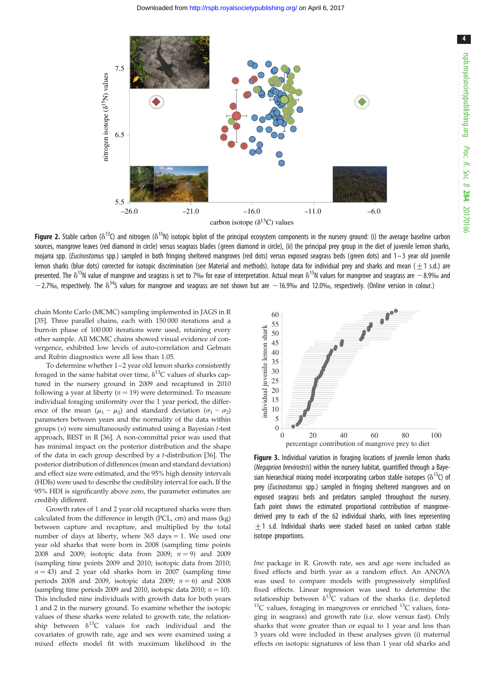4

Downloaded from http://rspb.royalsocietypublishing.org/ on April 6, 2017



**Figure 2.** Stable carbon ( $\delta^{13}$ C) and nitrogen ( $\delta^{15}$ N) isotopic biplot of the principal ecosystem components in the nursery ground: (i) the average baseline carbon sources, mangrove leaves (red diamond in circle) versus seagrass blades (green diamond in circle), (ii) the principal prey group in the diet of juvenile lemon sharks, mojarra spp. (Eucinostomus spp.) sampled in both fringing sheltered mangroves (red dots) versus exposed seagrass beds (green dots) and 1-3 year old juvenile lemon sharks (blue dots) corrected for isotopic discrimination (see Material and methods). Isotope data for individual prey and sharks and mean  $(+1 \text{ s.d.})$  are presented. The  $\delta^{15}$ N value of mangrove and seagrass is set to 7‰ for ease of interpretation. Actual mean  $\delta^{15}$ N values for mangrove and seagrass are  $-8.9$ ‰ and  $-2.7%$ , respectively. The  $\delta^{34}$ S values for mangrove and seagrass are not shown but are  $-16.9%$  and 12.0‰, respectively. (Online version in colour.)

chain Monte Carlo (MCMC) sampling implemented in JAGS in R [35]. Three parallel chains, each with 150 000 iterations and a burn-in phase of 100 000 iterations were used, retaining every other sample. All MCMC chains showed visual evidence of convergence, exhibited low levels of auto-correlation and Gelman and Rubin diagnostics were all less than 1.05.

To determine whether 1 –2 year old lemon sharks consistently foraged in the same habitat over time,  $\delta^{13}$ C values of sharks captured in the nursery ground in 2009 and recaptured in 2010 following a year at liberty ( $n = 19$ ) were determined. To measure individual foraging uniformity over the 1 year period, the difference of the mean  $(\mu_1 - \mu_2)$  and standard deviation  $(\sigma_1 - \sigma_2)$ parameters between years and the normality of the data within groups  $(v)$  were simultaneously estimated using a Bayesian  $t$ -test approach, BEST in R [36]. A non-committal prior was used that has minimal impact on the posterior distribution and the shape of the data in each group described by a t-distribution [36]. The posterior distribution of differences (mean and standard deviation) and effect size were estimated, and the 95% high density intervals (HDIs) were used to describe the credibility interval for each. If the 95% HDI is significantly above zero, the parameter estimates are credibly different.

Growth rates of 1 and 2 year old recaptured sharks were then calculated from the difference in length (PCL, cm) and mass (kg) between capture and recapture, and multiplied by the total number of days at liberty, where  $365 \text{ days} = 1$ . We used one year old sharks that were born in 2008 (sampling time points 2008 and 2009; isotopic data from 2009;  $n = 9$ ) and 2009 (sampling time points 2009 and 2010; isotopic data from 2010;  $n = 43$ ) and 2 year old sharks born in 2007 (sampling time periods 2008 and 2009, isotopic data 2009;  $n = 6$ ) and 2008 (sampling time periods 2009 and 2010, isotopic data 2010;  $n = 10$ ). This included nine individuals with growth data for both years 1 and 2 in the nursery ground. To examine whether the isotopic values of these sharks were related to growth rate, the relationship between  $\delta^{13}$ C values for each individual and the covariates of growth rate, age and sex were examined using a mixed effects model fit with maximum likelihood in the



Figure 3. Individual variation in foraging locations of juvenile lemon sharks (Negaprion brevirostris) within the nursery habitat, quantified through a Bayesian hierarchical mixing model incorporating carbon stable isotopes ( $\delta^{13}$ C) of prey (*Eucinostomus* spp.) sampled in fringing sheltered mangroves and on exposed seagrass beds and predators sampled throughout the nursery. Each point shows the estimated proportional contribution of mangrovederived prey to each of the 62 individual sharks, with lines representing +1 s.d. Individual sharks were stacked based on ranked carbon stable isotope proportions.

lme package in R. Growth rate, sex and age were included as fixed effects and birth year as a random effect. An ANOVA was used to compare models with progressively simplified fixed effects. Linear regression was used to determine the relationship between  $\delta^{13}C$  values of the sharks (i.e. depleted  $13C$  values, foraging in mangroves or enriched  $13C$  values, foraging in seagrass) and growth rate (i.e. slow versus fast). Only sharks that were greater than or equal to 1 year and less than 3 years old were included in these analyses given (i) maternal effects on isotopic signatures of less than 1 year old sharks and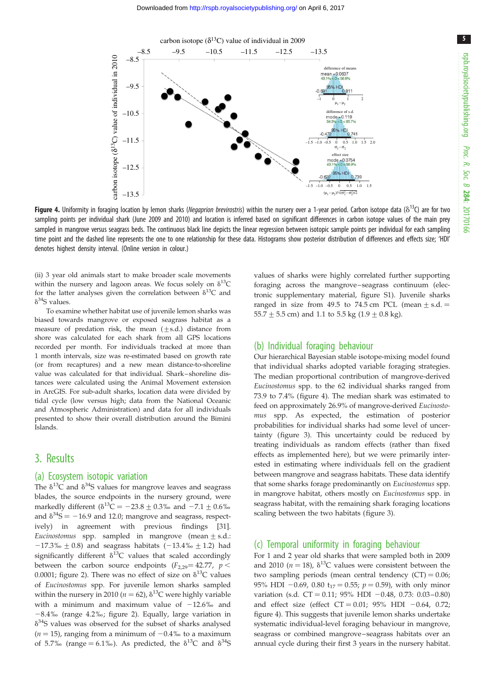5



**Figure 4.** Uniformity in foraging location by lemon sharks (Negaprion brevirostris) within the nursery over a 1-year period. Carbon isotope data ( $\delta^{13}$ C) are for two sampling points per individual shark (June 2009 and 2010) and location is inferred based on significant differences in carbon isotope values of the main prey sampled in mangrove versus seagrass beds. The continuous black line depicts the linear regression between isotopic sample points per individual for each sampling time point and the dashed line represents the one to one relationship for these data. Histograms show posterior distribution of differences and effects size; 'HDI' denotes highest density interval. (Online version in colour.)

(ii) 3 year old animals start to make broader scale movements within the nursery and lagoon areas. We focus solely on  $\delta^{13}C$ for the latter analyses given the correlation between  $\delta^{13}C$  and  $\delta^{34}S$  values.

To examine whether habitat use of juvenile lemon sharks was biased towards mangrove or exposed seagrass habitat as a measure of predation risk, the mean  $(\pm s.d.)$  distance from shore was calculated for each shark from all GPS locations recorded per month. For individuals tracked at more than 1 month intervals, size was re-estimated based on growth rate (or from recaptures) and a new mean distance-to-shoreline value was calculated for that individual. Shark–shoreline distances were calculated using the Animal Movement extension in ArcGIS. For sub-adult sharks, location data were divided by tidal cycle (low versus high; data from the National Oceanic and Atmospheric Administration) and data for all individuals presented to show their overall distribution around the Bimini Islands.

### 3. Results

#### (a) Ecosystem isotopic variation

The  $\delta^{13}$ C and  $\delta^{34}$ S values for mangrove leaves and seagrass blades, the source endpoints in the nursery ground, were markedly different ( $\delta^{13}C = -23.8 \pm 0.3\%$  and  $-7.1 \pm 0.6\%$ and  $\delta^{34}S = -16.9$  and 12.0; mangrove and seagrass, respectively) in agreement with previous findings [31]. *Eucinostomus* spp. sampled in mangrove (mean  $\pm$  s.d.:  $-17.3\% \pm 0.8$ ) and seagrass habitats (-13.4‰  $\pm$  1.2) had significantly different  $\delta^{13}C$  values that scaled accordingly between the carbon source endpoints ( $F_{2,29}$  = 42.77,  $p$  < 0.0001; figure 2). There was no effect of size on  $\delta^{13}C$  values of Eucinostomus spp. For juvenile lemon sharks sampled within the nursery in 2010 ( $n = 62$ ),  $\delta^{13}$ C were highly variable with a minimum and maximum value of  $-12.6\%$  and  $-8.4\%$  (range 4.2‰; figure 2). Equally, large variation in  $\delta^{34}$ S values was observed for the subset of sharks analysed ( $n = 15$ ), ranging from a minimum of  $-0.4%$  to a maximum of 5.7‰ (range = 6.1‰). As predicted, the  $\delta^{13}C$  and  $\delta^{34}S$  values of sharks were highly correlated further supporting foraging across the mangrove–seagrass continuum (electronic supplementary material, figure S1). Juvenile sharks ranged in size from 49.5 to 74.5 cm PCL (mean  $\pm$  s.d. = 55.7  $\pm$  5.5 cm) and 1.1 to 5.5 kg (1.9  $\pm$  0.8 kg).

#### (b) Individual foraging behaviour

Our hierarchical Bayesian stable isotope-mixing model found that individual sharks adopted variable foraging strategies. The median proportional contribution of mangrove-derived Eucinostomus spp. to the 62 individual sharks ranged from 73.9 to 7.4% (figure 4). The median shark was estimated to feed on approximately 26.9% of mangrove-derived Eucinostomus spp. As expected, the estimation of posterior probabilities for individual sharks had some level of uncertainty (figure 3). This uncertainty could be reduced by treating individuals as random effects (rather than fixed effects as implemented here), but we were primarily interested in estimating where individuals fell on the gradient between mangrove and seagrass habitats. These data identify that some sharks forage predominantly on Eucinostomus spp. in mangrove habitat, others mostly on Eucinostomus spp. in seagrass habitat, with the remaining shark foraging locations scaling between the two habitats (figure 3).

#### (c) Temporal uniformity in foraging behaviour

For 1 and 2 year old sharks that were sampled both in 2009 and 2010 ( $n = 18$ ),  $\delta^{13}$ C values were consistent between the two sampling periods (mean central tendency  $(CT) = 0.06$ ; 95% HDI  $-0.69$ , 0.80  $t_{17} = 0.55$ ;  $p = 0.59$ ), with only minor variation (s.d. CT = 0.11; 95% HDI  $-0.48$ , 0.73: 0.03 -0.80) and effect size (effect  $CT = 0.01$ ; 95% HDI  $-0.64$ , 0.72; figure 4). This suggests that juvenile lemon sharks undertake systematic individual-level foraging behaviour in mangrove, seagrass or combined mangrove –seagrass habitats over an annual cycle during their first 3 years in the nursery habitat.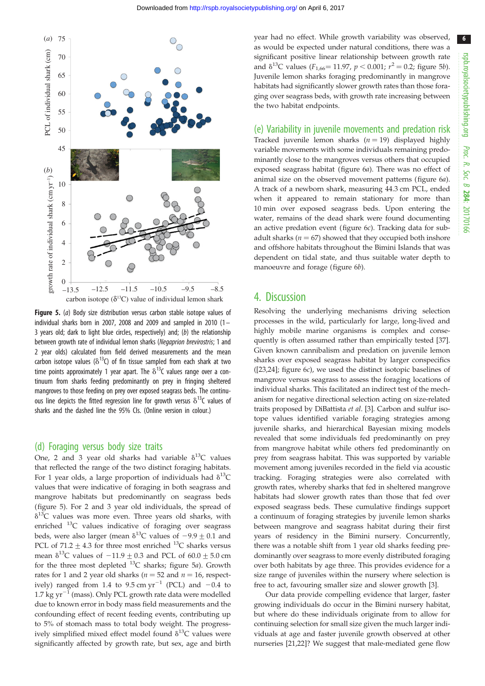

Figure 5. (a) Body size distribution versus carbon stable isotope values of individual sharks born in 2007, 2008 and 2009 and sampled in 2010  $(1 -$ 3 years old; dark to light blue circles, respectively) and; (b) the relationship between growth rate of individual lemon sharks (Negaprion brevirostris; 1 and 2 year olds) calculated from field derived measurements and the mean carbon isotope values ( $\delta^{13}$ C) of fin tissue sampled from each shark at two time points approximately 1 year apart. The  $\delta^{13}$ C values range over a continuum from sharks feeding predominantly on prey in fringing sheltered mangroves to those feeding on prey over exposed seagrass beds. The continuous line depicts the fitted regression line for growth versus  $\delta^{13}$ C values of sharks and the dashed line the 95% CIs. (Online version in colour.)

#### (d) Foraging versus body size traits

One, 2 and 3 year old sharks had variable  $\delta^{13}C$  values that reflected the range of the two distinct foraging habitats. For 1 year olds, a large proportion of individuals had  $\delta^{13}C$ values that were indicative of foraging in both seagrass and mangrove habitats but predominantly on seagrass beds (figure 5). For 2 and 3 year old individuals, the spread of  $\delta^{13}$ C values was more even. Three years old sharks, with enriched  $^{13}$ C values indicative of foraging over seagrass beds, were also larger (mean  $\delta^{13}$ C values of  $-9.9 \pm 0.1$  and PCL of  $71.2 + 4.3$  for three most enriched <sup>13</sup>C sharks versus mean  $\delta^{13}$ C values of  $-11.9 + 0.3$  and PCL of 60.0 + 5.0 cm for the three most depleted  $^{13}C$  sharks; figure 5a). Growth rates for 1 and 2 year old sharks ( $n = 52$  and  $n = 16$ , respectively) ranged from 1.4 to 9.5 cm  $yr^{-1}$  (PCL) and  $-0.4$  to 1.7 kg  $yr^{-1}$  (mass). Only PCL growth rate data were modelled due to known error in body mass field measurements and the confounding effect of recent feeding events, contributing up to 5% of stomach mass to total body weight. The progressively simplified mixed effect model found  $\delta^{13}C$  values were significantly affected by growth rate, but sex, age and birth year had no effect. While growth variability was observed, as would be expected under natural conditions, there was a significant positive linear relationship between growth rate and  $\delta^{13}$ C values ( $F_{1,66}$  = 11.97,  $p$  < 0.001;  $r^2$  = 0.2; figure 5*b*). Juvenile lemon sharks foraging predominantly in mangrove habitats had significantly slower growth rates than those foraging over seagrass beds, with growth rate increasing between the two habitat endpoints.

(e) Variability in juvenile movements and predation risk Tracked juvenile lemon sharks  $(n = 19)$  displayed highly variable movements with some individuals remaining predominantly close to the mangroves versus others that occupied exposed seagrass habitat (figure 6a). There was no effect of animal size on the observed movement patterns (figure 6a). A track of a newborn shark, measuring 44.3 cm PCL, ended when it appeared to remain stationary for more than 10 min over exposed seagrass beds. Upon entering the water, remains of the dead shark were found documenting an active predation event (figure 6c). Tracking data for subadult sharks ( $n = 67$ ) showed that they occupied both inshore and offshore habitats throughout the Bimini Islands that was dependent on tidal state, and thus suitable water depth to manoeuvre and forage (figure 6b).

#### 4. Discussion

Resolving the underlying mechanisms driving selection processes in the wild, particularly for large, long-lived and highly mobile marine organisms is complex and consequently is often assumed rather than empirically tested [37]. Given known cannibalism and predation on juvenile lemon sharks over exposed seagrass habitat by larger conspecifics ([23,24]; figure 6c), we used the distinct isotopic baselines of mangrove versus seagrass to assess the foraging locations of individual sharks. This facilitated an indirect test of the mechanism for negative directional selection acting on size-related traits proposed by DiBattista et al. [3]. Carbon and sulfur isotope values identified variable foraging strategies among juvenile sharks, and hierarchical Bayesian mixing models revealed that some individuals fed predominantly on prey from mangrove habitat while others fed predominantly on prey from seagrass habitat. This was supported by variable movement among juveniles recorded in the field via acoustic tracking. Foraging strategies were also correlated with growth rates, whereby sharks that fed in sheltered mangrove habitats had slower growth rates than those that fed over exposed seagrass beds. These cumulative findings support a continuum of foraging strategies by juvenile lemon sharks between mangrove and seagrass habitat during their first years of residency in the Bimini nursery. Concurrently, there was a notable shift from 1 year old sharks feeding predominantly over seagrass to more evenly distributed foraging over both habitats by age three. This provides evidence for a size range of juveniles within the nursery where selection is free to act, favouring smaller size and slower growth [3].

Our data provide compelling evidence that larger, faster growing individuals do occur in the Bimini nursery habitat, but where do these individuals originate from to allow for continuing selection for small size given the much larger individuals at age and faster juvenile growth observed at other nurseries [21,22]? We suggest that male-mediated gene flow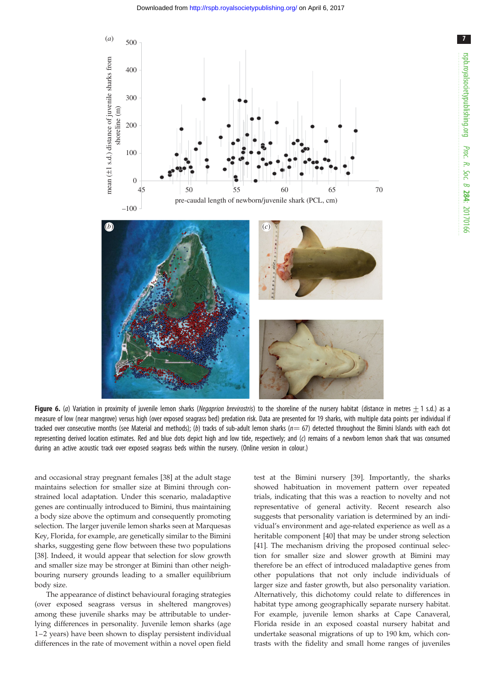



Figure 6. (a) Variation in proximity of juvenile lemon sharks (Negaprion brevirostris) to the shoreline of the nursery habitat (distance in metres + 1 s.d.) as a measure of low (near mangrove) versus high (over exposed seagrass bed) predation risk. Data are presented for 19 sharks, with multiple data points per individual if tracked over consecutive months (see Material and methods); (b) tracks of sub-adult lemon sharks ( $n=67$ ) detected throughout the Bimini Islands with each dot representing derived location estimates. Red and blue dots depict high and low tide, respectively; and (c) remains of a newborn lemon shark that was consumed during an active acoustic track over exposed seagrass beds within the nursery. (Online version in colour.)

and occasional stray pregnant females [38] at the adult stage maintains selection for smaller size at Bimini through constrained local adaptation. Under this scenario, maladaptive genes are continually introduced to Bimini, thus maintaining a body size above the optimum and consequently promoting selection. The larger juvenile lemon sharks seen at Marquesas Key, Florida, for example, are genetically similar to the Bimini sharks, suggesting gene flow between these two populations [38]. Indeed, it would appear that selection for slow growth and smaller size may be stronger at Bimini than other neighbouring nursery grounds leading to a smaller equilibrium body size.

The appearance of distinct behavioural foraging strategies (over exposed seagrass versus in sheltered mangroves) among these juvenile sharks may be attributable to underlying differences in personality. Juvenile lemon sharks (age 1–2 years) have been shown to display persistent individual differences in the rate of movement within a novel open field

test at the Bimini nursery [39]. Importantly, the sharks showed habituation in movement pattern over repeated trials, indicating that this was a reaction to novelty and not representative of general activity. Recent research also suggests that personality variation is determined by an individual's environment and age-related experience as well as a heritable component [40] that may be under strong selection [41]. The mechanism driving the proposed continual selection for smaller size and slower growth at Bimini may therefore be an effect of introduced maladaptive genes from other populations that not only include individuals of larger size and faster growth, but also personality variation. Alternatively, this dichotomy could relate to differences in habitat type among geographically separate nursery habitat. For example, juvenile lemon sharks at Cape Canaveral, Florida reside in an exposed coastal nursery habitat and undertake seasonal migrations of up to 190 km, which contrasts with the fidelity and small home ranges of juveniles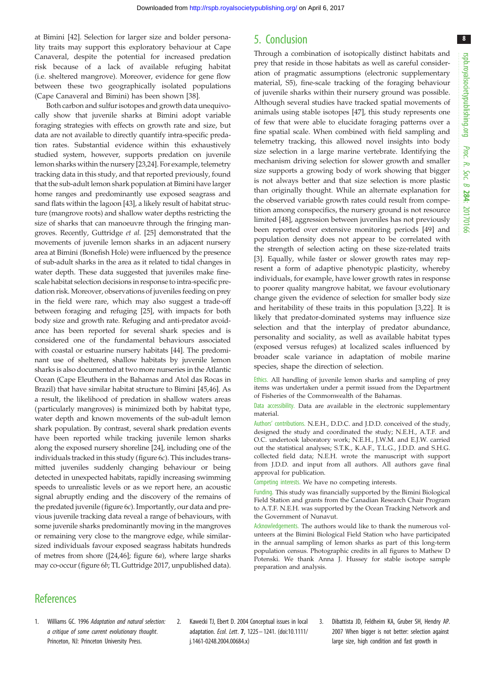at Bimini [42]. Selection for larger size and bolder personality traits may support this exploratory behaviour at Cape Canaveral, despite the potential for increased predation risk because of a lack of available refuging habitat (i.e. sheltered mangrove). Moreover, evidence for gene flow between these two geographically isolated populations (Cape Canaveral and Bimini) has been shown [38].

Both carbon and sulfur isotopes and growth data unequivocally show that juvenile sharks at Bimini adopt variable foraging strategies with effects on growth rate and size, but data are not available to directly quantify intra-specific predation rates. Substantial evidence within this exhaustively studied system, however, supports predation on juvenile lemon sharks within the nursery [23,24]. For example, telemetry tracking data in this study, and that reported previously, found that the sub-adult lemon shark population at Bimini have larger home ranges and predominantly use exposed seagrass and sand flats within the lagoon [43], a likely result of habitat structure (mangrove roots) and shallow water depths restricting the size of sharks that can manoeuvre through the fringing mangroves. Recently, Guttridge et al. [25] demonstrated that the movements of juvenile lemon sharks in an adjacent nursery area at Bimini (Bonefish Hole) were influenced by the presence of sub-adult sharks in the area as it related to tidal changes in water depth. These data suggested that juveniles make finescale habitat selection decisions in response to intra-specific predation risk. Moreover, observations of juveniles feeding on prey in the field were rare, which may also suggest a trade-off between foraging and refuging [25], with impacts for both body size and growth rate. Refuging and anti-predator avoidance has been reported for several shark species and is considered one of the fundamental behaviours associated with coastal or estuarine nursery habitats [44]. The predominant use of sheltered, shallow habitats by juvenile lemon sharks is also documented at two more nurseries in the Atlantic Ocean (Cape Eleuthera in the Bahamas and Atol das Rocas in Brazil) that have similar habitat structure to Bimini [45,46]. As a result, the likelihood of predation in shallow waters areas (particularly mangroves) is minimized both by habitat type, water depth and known movements of the sub-adult lemon shark population. By contrast, several shark predation events have been reported while tracking juvenile lemon sharks along the exposed nursery shoreline [24], including one of the individuals tracked in this study (figure 6c). This includes transmitted juveniles suddenly changing behaviour or being detected in unexpected habitats, rapidly increasing swimming speeds to unrealistic levels or as we report here, an acoustic signal abruptly ending and the discovery of the remains of the predated juvenile (figure  $6c$ ). Importantly, our data and previous juvenile tracking data reveal a range of behaviours, with some juvenile sharks predominantly moving in the mangroves or remaining very close to the mangrove edge, while similarsized individuals favour exposed seagrass habitats hundreds of metres from shore ([24,46]; figure 6a), where large sharks may co-occur (figure 6b; TL Guttridge 2017, unpublished data).

## 5. Conclusion

Through a combination of isotopically distinct habitats and prey that reside in those habitats as well as careful consideration of pragmatic assumptions (electronic supplementary material, S5), fine-scale tracking of the foraging behaviour of juvenile sharks within their nursery ground was possible. Although several studies have tracked spatial movements of animals using stable isotopes [47], this study represents one of few that were able to elucidate foraging patterns over a fine spatial scale. When combined with field sampling and telemetry tracking, this allowed novel insights into body size selection in a large marine vertebrate. Identifying the mechanism driving selection for slower growth and smaller size supports a growing body of work showing that bigger is not always better and that size selection is more plastic than originally thought. While an alternate explanation for the observed variable growth rates could result from competition among conspecifics, the nursery ground is not resource limited [48], aggression between juveniles has not previously been reported over extensive monitoring periods [49] and population density does not appear to be correlated with the strength of selection acting on these size-related traits [3]. Equally, while faster or slower growth rates may represent a form of adaptive phenotypic plasticity, whereby individuals, for example, have lower growth rates in response to poorer quality mangrove habitat, we favour evolutionary change given the evidence of selection for smaller body size and heritability of these traits in this population [3,22]. It is likely that predator-dominated systems may influence size selection and that the interplay of predator abundance, personality and sociality, as well as available habitat types (exposed versus refuges) at localized scales influenced by broader scale variance in adaptation of mobile marine species, shape the direction of selection.

Ethics. All handling of juvenile lemon sharks and sampling of prey items was undertaken under a permit issued from the Department of Fisheries of the Commonwealth of the Bahamas.

Data accessibility. Data are available in the electronic supplementary material.

Authors' contributions. N.E.H., D.D.C. and J.D.D. conceived of the study, designed the study and coordinated the study; N.E.H., A.T.F. and O.C. undertook laboratory work; N.E.H., J.W.M. and E.J.W. carried out the statistical analyses; S.T.K., K.A.F., T.L.G., J.D.D. and S.H.G. collected field data; N.E.H. wrote the manuscript with support from J.D.D. and input from all authors. All authors gave final approval for publication.

Competing interests. We have no competing interests.

Funding. This study was financially supported by the Bimini Biological Field Station and grants from the Canadian Research Chair Program to A.T.F. N.E.H. was supported by the Ocean Tracking Network and the Government of Nunavut.

Acknowledgements. The authors would like to thank the numerous volunteers at the Bimini Biological Field Station who have participated in the annual sampling of lemon sharks as part of this long-term population census. Photographic credits in all figures to Mathew D Potenski. We thank Anna J. Hussey for stable isotope sample preparation and analysis.

## **References**

- 1. Williams GC. 1996 Adaptation and natural selection: a critique of some current evolutionary thought. Princeton, NJ: Princeton University Press.
- 2. Kawecki TJ, Ebert D. 2004 Conceptual issues in local adaptation. Ecol. Lett. 7, 1225– 1241. (doi:10.1111/ j.1461-0248.2004.00684.x)
- 3. Dibattista JD, Feldheim KA, Gruber SH, Hendry AP. 2007 When bigger is not better: selection against large size, high condition and fast growth in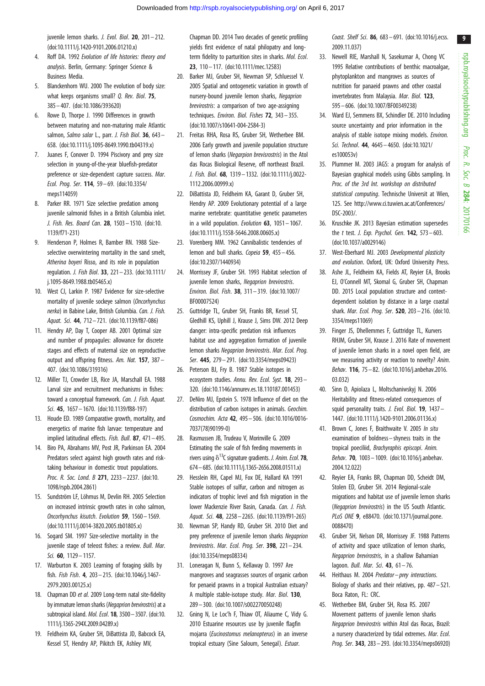juvenile lemon sharks. *J. Evol. Biol.* **20**,  $201 - 212$ . (doi:10.1111/j.1420-9101.2006.01210.x)

- 4. Roff DA. 1992 Evolution of life histories: theory and analysis. Berlin, Germany: Springer Science & Business Media.
- 5. Blanckenhorn WU. 2000 The evolution of body size: what keeps organisms small? Q. Rev. Biol. 75, 385– 407. (doi:10.1086/393620)
- 6. Rowe D, Thorpe J. 1990 Differences in growth between maturing and non-maturing male Atlantic salmon, Salmo salar L., parr. J. Fish Biol. 36, 643-658. (doi:10.1111/j.1095-8649.1990.tb04319.x)
- 7. Juanes F, Conover D. 1994 Piscivory and prey size selection in young-of-the-year bluefish-predator preference or size-dependent capture success. Mar. Ecol. Prog. Ser. 114, 59 – 69. (doi:10.3354/ meps114059)
- 8. Parker RR. 1971 Size selective predation among juvenile salmonid fishes in a British Columbia inlet. J. Fish. Res. Board Can. 28, 1503– 1510. (doi:10. 1139/f71-231)
- 9. Henderson P, Holmes R, Bamber RN. 1988 Sizeselective overwintering mortality in the sand smelt, Atherina boyeri Risso, and its role in population regulation. J. Fish Biol. 33, 221– 233. (doi:10.1111/ j.1095-8649.1988.tb05465.x)
- 10. West CJ, Larkin P. 1987 Evidence for size-selective mortality of juvenile sockeye salmon (Oncorhynchus nerka) in Babine Lake, British Columbia. Can. J. Fish. Aquat. Sci. 44, 712– 721. (doi:10.1139/f87-086)
- 11. Hendry AP, Day T, Cooper AB. 2001 Optimal size and number of propagules: allowance for discrete stages and effects of maternal size on reproductive output and offspring fitness. Am. Nat. 157, 387– 407. (doi:10.1086/319316)
- 12. Miller TJ, Crowder LB, Rice JA, Marschall EA. 1988 Larval size and recruitment mechanisms in fishes: toward a conceptual framework. Can. J. Fish. Aquat. Sci. 45, 1657 – 1670. (doi:10.1139/f88-197)
- 13. Houde ED. 1989 Comparative growth, mortality, and energetics of marine fish larvae: temperature and implied latitudinal effects. Fish. Bull. 87, 471– 495.
- 14. Biro PA, Abrahams MV, Post JR, Parkinson EA. 2004 Predators select against high growth rates and risktaking behaviour in domestic trout populations. Proc. R. Soc. Lond. B 271, 2233– 2237. (doi:10. 1098/rspb.2004.2861)
- 15. Sundström LF, Löhmus M, Devlin RH, 2005 Selection on increased intrinsic growth rates in coho salmon, Oncorhynchus kisutch. Evolution 59, 1560 – 1569. (doi:10.1111/j.0014-3820.2005.tb01805.x)
- 16. Sogard SM. 1997 Size-selective mortality in the juvenile stage of teleost fishes: a review. Bull. Mar. Sci. 60, 1129 – 1157.
- 17. Warburton K. 2003 Learning of foraging skills by fish. Fish Fish. 4, 203– 215. (doi:10.1046/j.1467- 2979.2003.00125.x)
- 18. Chapman DD et al. 2009 Long-term natal site-fidelity by immature lemon sharks (Negaprion brevirostris) at a subtropical island. Mol. Ecol. 18, 3500–3507. (doi:10. 1111/j.1365-294X.2009.04289.x)
- 19. Feldheim KA, Gruber SH, DiBattista JD, Babcock EA, Kessel ST, Hendry AP, Pikitch EK, Ashley MV,

Chapman DD. 2014 Two decades of genetic profiling yields first evidence of natal philopatry and longterm fidelity to parturition sites in sharks. Mol. Ecol. 23, 110– 117. (doi:10.1111/mec.12583)

- 20. Barker MJ, Gruber SH, Newman SP, Schluessel V. 2005 Spatial and ontogenetic variation in growth of nursery-bound juvenile lemon sharks, Negaprion brevirostris: a comparison of two age-assigning techniques. Environ. Biol. Fishes 72, 343– 355. (doi:10.1007/s10641-004-2584-3)
- 21. Freitas RHA, Rosa RS, Gruber SH, Wetherbee BM. 2006 Early growth and juvenile population structure of lemon sharks (Negarpion brevisrostris) in the Atol das Rocas Biological Reserve, off northeast Brazil. J. Fish. Biol. 68, 1319– 1332. (doi:10.1111/j.0022- 1112.2006.00999.x)
- 22. DiBattista JD, Feldheim KA, Garant D, Gruber SH, Hendry AP. 2009 Evolutionary potential of a large marine vertebrate: quantitative genetic parameters in a wild population. Evolution  $63$ ,  $1051-1067$ . (doi:10.1111/j.1558-5646.2008.00605.x)
- 23. Vorenberg MM. 1962 Cannibalistic tendencies of lemon and bull sharks. Copeia 59, 455-456. (doi:10.2307/1440934)
- 24. Morrissey JF, Gruber SH. 1993 Habitat selection of juvenile lemon sharks, Negaprion brevirostris. Environ. Biol. Fish. 38, 311– 319. (doi:10.1007/ BF00007524)
- 25. Guttridge TL, Gruber SH, Franks BR, Kessel ST, Gledhill KS, Uphill J, Krause J, Sims DW. 2012 Deep danger: intra-specific predation risk influences habitat use and aggregation formation of juvenile lemon sharks Negaprion brevirostris. Mar. Ecol. Prog. Ser. 445, 279 – 291. (doi:10.3354/meps09423)
- 26. Peterson BJ, Fry B. 1987 Stable isotopes in ecosystem studies. Annu. Rev. Ecol. Syst. 18, 293 – 320. (doi:10.1146/annurev.es.18.110187.001453)
- 27. DeNiro MJ, Epstein S. 1978 Influence of diet on the distribution of carbon isotopes in animals. Geochim. Cosmochim. Acta 42, 495– 506. (doi:10.1016/0016- 7037(78)90199-0)
- 28. Rasmussen JB, Trudeau V, Morinville G. 2009 Estimating the scale of fish feeding movements in rivers using  $\delta^{13}$ C signature gradients. J. Anim. Ecol. 78, 674–685. (doi:10.1111/j.1365-2656.2008.01511.x)
- 29. Hesslein RH, Capel MJ, Fox DE, Hallard KA 1991 Stable isotopes of sulfur, carbon and nitrogen as indicators of trophic level and fish migration in the lower Mackenzie River Basin, Canada. Can. J. Fish. Aquat. Sci. 48, 2258– 2265. (doi:10.1139/f91-265)
- 30. Newman SP, Handy RD, Gruber SH. 2010 Diet and prey preference of juvenile lemon sharks Negaprion brevirostris. Mar. Ecol. Prog. Ser. 398, 221– 234. (doi:10.3354/meps08334)
- 31. Loneragan N, Bunn S, Kellaway D. 1997 Are mangroves and seagrasses sources of organic carbon for penaeid prawns in a tropical Australian estuary? A multiple stable-isotope study. Mar. Biol. 130, 289 – 300. (doi:10.1007/s002270050248)
- 32. Gning N, Le Loc'h F, Thiaw OT, Aliaume C, Vidy G. 2010 Estuarine resources use by juvenile flagfin mojarra (Eucinostomus melanopterus) in an inverse tropical estuary (Sine Saloum, Senegal). Estuar.

Coast. Shelf Sci. 86, 683 – 691. (doi:10.1016/j.ecss. 2009.11.037)

- 33. Newell RIE, Marshall N, Sasekumar A, Chong VC 1995 Relative contributions of benthic macroalgae, phytoplankton and mangroves as sources of nutrition for panaeid prawns and other coastal invertebrates from Malaysia. Mar. Biol. 123, 595– 606. (doi:10.1007/BF00349238)
- 34. Ward EJ, Semmens BX, Schindler DE. 2010 Including source uncertainty and prior information in the analysis of stable isotope mixing models. Environ. Sci. Technol. 44, 4645 – 4650. (doi:10.1021/ es100053v)
- 35. Plummer M. 2003 JAGS: a program for analysis of Bayesian graphical models using Gibbs sampling. In Proc. of the 3rd Int. workshop on distributed statistical computing. Technische Universit at Wien, 125. See http://www.ci.tuwien.ac.at/Conferences/ DSC-2003/.
- 36. Kruschke JK. 2013 Bayesian estimation supersedes the  $t$  test. J. Exp. Psychol. Gen.  $142$ ,  $573-603$ . (doi:10.1037/a0029146)
- 37. West-Eberhard MJ. 2003 Developmental plasticity and evolution. Oxford, UK: Oxford University Press.
- 38. Ashe JL, Feldheim KA, Fields AT, Reyier EA, Brooks EJ, O'Connell MT, Skomal G, Gruber SH, Chapman DD. 2015 Local population structure and contextdependent isolation by distance in a large coastal shark. Mar. Ecol. Prog. Ser. 520, 203-216. (doi:10. 3354/meps11069)
- 39. Finger JS, Dhellemmes F, Guttridge TL, Kurvers RHJM, Gruber SH, Krause J. 2016 Rate of movement of juvenile lemon sharks in a novel open field, are we measuring activity or reaction to novelty? Anim. Behav. 116, 75 – 82. (doi:10.1016/j.anbehav.2016. 03.032)
- 40. Sinn D, Apiolaza L, Moltschaniwskyj N. 2006 Heritability and fitness-related consequences of squid personality traits. J. Evol. Biol. 19, 1437-1447. (doi:10.1111/j.1420-9101.2006.01136.x)
- 41. Brown C, Jones F, Braithwaite V. 2005 In situ examination of boldness - shyness traits in the tropical poeciliid, Brachyraphis episcopi. Anim. Behav. 70, 1003– 1009. (doi:10.1016/j.anbehav. 2004.12.022)
- 42. Reyier EA, Franks BR, Chapman DD, Scheidt DM, Stolen ED, Gruber SH. 2014 Regional-scale migrations and habitat use of juvenile lemon sharks (Negaprion brevirostris) in the US South Atlantic. PLoS ONE 9, e88470. (doi:10.1371/journal.pone. 0088470)
- 43. Gruber SH, Nelson DR, Morrissey JF. 1988 Patterns of activity and space utilization of lemon sharks, Negaprion brevirostris, in a shallow Bahamian lagoon. Bull. Mar. Sci.  $43$ , 61-76.
- 44. Heithaus M. 2004 Predator prey interactions. Biology of sharks and their relatives, pp. 487 – 521. Boca Raton, FL: CRC.
- 45. Wetherbee BM, Gruber SH, Rosa RS. 2007 Movement patterns of juvenile lemon sharks Negaprion brevirostris within Atol das Rocas, Brazil: a nursery characterized by tidal extremes. Mar. Ecol. Prog. Ser. 343, 283– 293. (doi:10.3354/meps06920)